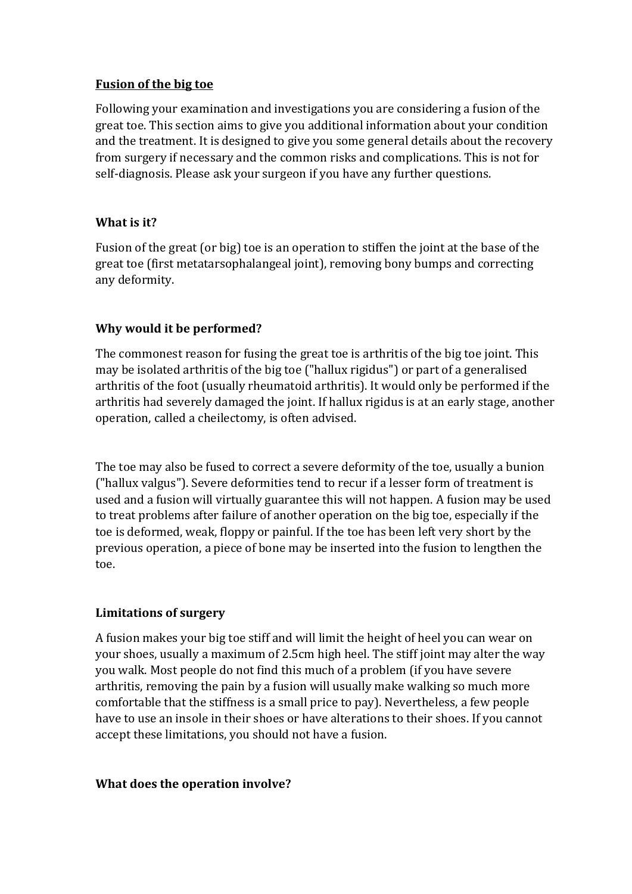#### **Fusion of the big toe**

Following your examination and investigations you are considering a fusion of the great toe. This section aims to give you additional information about your condition and the treatment. It is designed to give you some general details about the recovery from surgery if necessary and the common risks and complications. This is not for self-diagnosis. Please ask your surgeon if you have any further questions.

## **What is it?**

Fusion of the great (or big) toe is an operation to stiffen the joint at the base of the great toe (first metatarsophalangeal joint), removing bony bumps and correcting any deformity.

# **Why would it be performed?**

The commonest reason for fusing the great toe is arthritis of the big toe joint. This may be isolated arthritis of the big toe ("hallux rigidus") or part of a generalised arthritis of the foot (usually rheumatoid arthritis). It would only be performed if the arthritis had severely damaged the joint. If hallux rigidus is at an early stage, another operation, called a cheilectomy, is often advised.

The toe may also be fused to correct a severe deformity of the toe, usually a bunion ("hallux valgus"). Severe deformities tend to recur if a lesser form of treatment is used and a fusion will virtually guarantee this will not happen. A fusion may be used to treat problems after failure of another operation on the big toe, especially if the toe is deformed, weak, floppy or painful. If the toe has been left very short by the previous operation, a piece of bone may be inserted into the fusion to lengthen the toe.

## **Limitations of surgery**

A fusion makes your big toe stiff and will limit the height of heel you can wear on your shoes, usually a maximum of 2.5cm high heel. The stiff joint may alter the way you walk. Most people do not find this much of a problem (if you have severe arthritis, removing the pain by a fusion will usually make walking so much more comfortable that the stiffness is a small price to pay). Nevertheless, a few people have to use an insole in their shoes or have alterations to their shoes. If you cannot accept these limitations, you should not have a fusion.

## **What does the operation involve?**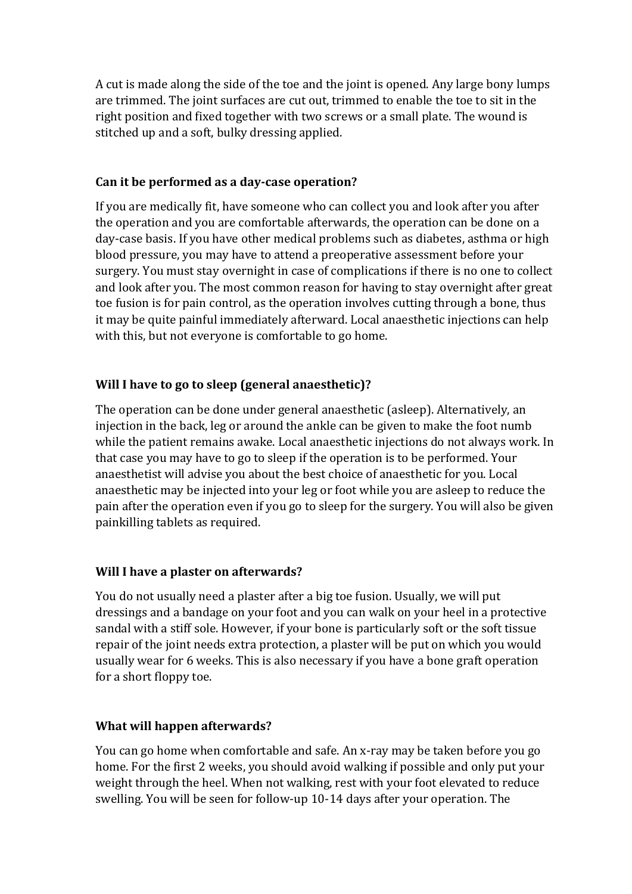A cut is made along the side of the toe and the joint is opened. Any large bony lumps are trimmed. The joint surfaces are cut out, trimmed to enable the toe to sit in the right position and fixed together with two screws or a small plate. The wound is stitched up and a soft, bulky dressing applied.

#### **Can it be performed as a day-case operation?**

If you are medically fit, have someone who can collect you and look after you after the operation and you are comfortable afterwards, the operation can be done on a day-case basis. If you have other medical problems such as diabetes, asthma or high blood pressure, you may have to attend a preoperative assessment before your surgery. You must stay overnight in case of complications if there is no one to collect and look after you. The most common reason for having to stay overnight after great toe fusion is for pain control, as the operation involves cutting through a bone, thus it may be quite painful immediately afterward. Local anaesthetic injections can help with this, but not everyone is comfortable to go home.

## **Will I have to go to sleep (general anaesthetic)?**

The operation can be done under general anaesthetic (asleep). Alternatively, an injection in the back, leg or around the ankle can be given to make the foot numb while the patient remains awake. Local anaesthetic injections do not always work. In that case you may have to go to sleep if the operation is to be performed. Your anaesthetist will advise you about the best choice of anaesthetic for you. Local anaesthetic may be injected into your leg or foot while you are asleep to reduce the pain after the operation even if you go to sleep for the surgery. You will also be given painkilling tablets as required.

## **Will I have a plaster on afterwards?**

You do not usually need a plaster after a big toe fusion. Usually, we will put dressings and a bandage on your foot and you can walk on your heel in a protective sandal with a stiff sole. However, if your bone is particularly soft or the soft tissue repair of the joint needs extra protection, a plaster will be put on which you would usually wear for 6 weeks. This is also necessary if you have a bone graft operation for a short floppy toe.

## **What will happen afterwards?**

You can go home when comfortable and safe. An x-ray may be taken before you go home. For the first 2 weeks, you should avoid walking if possible and only put your weight through the heel. When not walking, rest with your foot elevated to reduce swelling. You will be seen for follow-up 10-14 days after your operation. The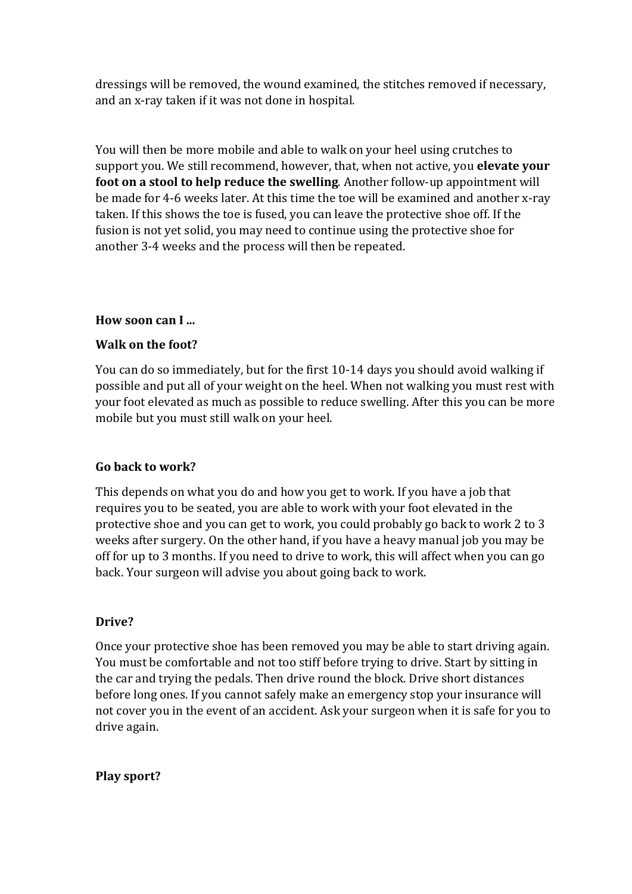dressings will be removed, the wound examined, the stitches removed if necessary, and an x-ray taken if it was not done in hospital.

You will then be more mobile and able to walk on your heel using crutches to support you. We still recommend, however, that, when not active, you **elevate your foot on a stool to help reduce the swelling**. Another follow-up appointment will be made for 4-6 weeks later. At this time the toe will be examined and another x-ray taken. If this shows the toe is fused, you can leave the protective shoe off. If the fusion is not yet solid, you may need to continue using the protective shoe for another 3-4 weeks and the process will then be repeated.

#### **How soon can I ...**

#### **Walk on the foot?**

You can do so immediately, but for the first 10-14 days you should avoid walking if possible and put all of your weight on the heel. When not walking you must rest with your foot elevated as much as possible to reduce swelling. After this you can be more mobile but you must still walk on your heel.

## **Go back to work?**

This depends on what you do and how you get to work. If you have a job that requires you to be seated, you are able to work with your foot elevated in the protective shoe and you can get to work, you could probably go back to work 2 to 3 weeks after surgery. On the other hand, if you have a heavy manual job you may be off for up to 3 months. If you need to drive to work, this will affect when you can go back. Your surgeon will advise you about going back to work.

#### **Drive?**

Once your protective shoe has been removed you may be able to start driving again. You must be comfortable and not too stiff before trying to drive. Start by sitting in the car and trying the pedals. Then drive round the block. Drive short distances before long ones. If you cannot safely make an emergency stop your insurance will not cover you in the event of an accident. Ask your surgeon when it is safe for you to drive again.

#### **Play sport?**